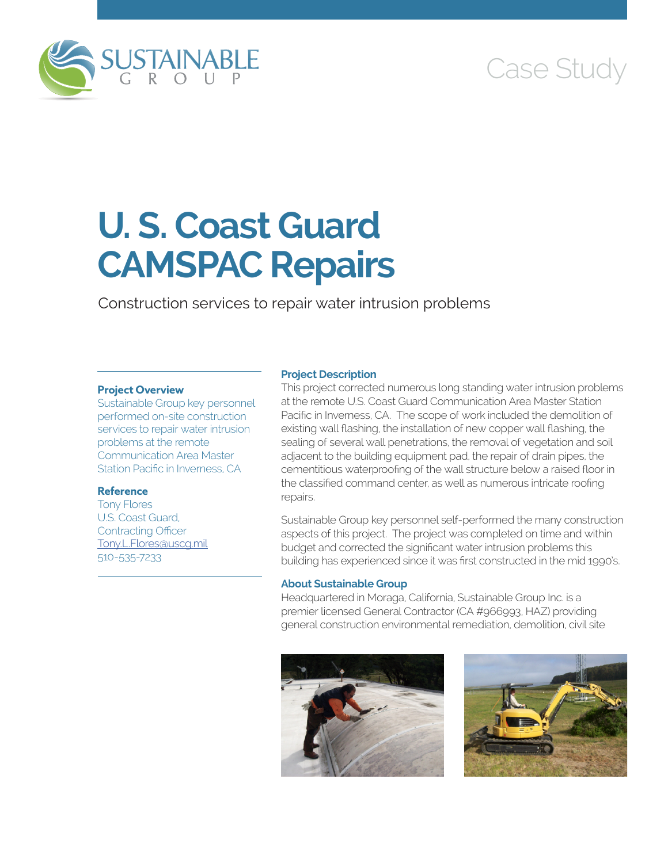

# Case Study

# **U. S. Coast Guard CAMSPAC Repairs**

Construction services to repair water intrusion problems

# **Project Overview**

Sustainable Group key personnel performed on-site construction services to repair water intrusion problems at the remote Communication Area Master Station Pacific in Inverness, CA

# **Reference**

Tony Flores U.S. Coast Guard, Contracting Officer [Tony.L.Flores@uscg.mil](mailto:Tony.L.Flores@uscg.mil) 510-535-7233

### **Project Description**

This project corrected numerous long standing water intrusion problems at the remote U.S. Coast Guard Communication Area Master Station Pacific in Inverness, CA. The scope of work included the demolition of existing wall flashing, the installation of new copper wall flashing, the sealing of several wall penetrations, the removal of vegetation and soil adjacent to the building equipment pad, the repair of drain pipes, the cementitious waterproofing of the wall structure below a raised floor in the classified command center, as well as numerous intricate roofing repairs.

Sustainable Group key personnel self-performed the many construction aspects of this project. The project was completed on time and within budget and corrected the significant water intrusion problems this building has experienced since it was first constructed in the mid 1990's.

### **About Sustainable Group**

Headquartered in Moraga, California, Sustainable Group Inc. is a premier licensed General Contractor (CA #966993, HAZ) providing general construction environmental remediation, demolition, civil site